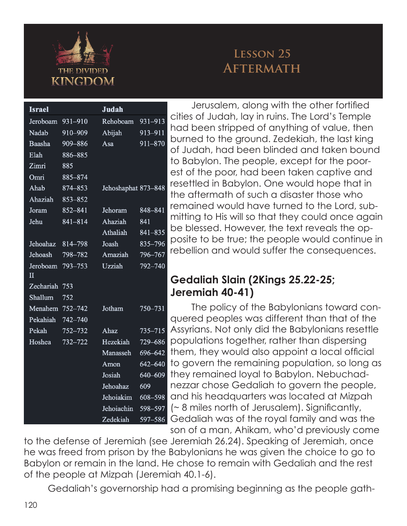

## **Lesson 25 Aftermath**

| <b>Israel</b>            |             | <b>Judah</b>        |             |                          |
|--------------------------|-------------|---------------------|-------------|--------------------------|
| Jeroboam                 | 931-910     | Rehoboam            | 931-913     | $\overline{\mathcal{C}}$ |
| Nadab                    | 910-909     | Abijah              | 913-911     | ł                        |
| Baasha                   | 909-886     | Asa                 | 911-870     | k                        |
| Elah                     | 886-885     |                     |             | $\overline{C}$           |
| Zimri                    | 885         |                     |             | t                        |
| Omri                     | 885-874     |                     |             | $\epsilon$               |
| Ahab                     | 874-853     | Jehoshaphat 873-848 |             | r                        |
| Ahaziah                  | 853-852     |                     |             | t                        |
| Joram                    | 852-841     | Jehoram             | 848-841     | r                        |
| Jehu                     | 841-814     | Ahaziah             | 841         | ľ                        |
|                          |             | Athaliah            | 841-835     | k                        |
| Jehoahaz                 | 814-798     | Joash               | 835-796     | K                        |
| Jehoash                  | 798-782     | Amaziah             | 796-767     | r                        |
| Jeroboam<br>$\mathbf{I}$ | 793-753     | Uzziah              | 792-740     | O                        |
| Zechariah                | 753         |                     |             |                          |
| Shallum                  | 752         |                     |             |                          |
| Menahem                  | $752 - 742$ | Jotham              | 750-731     |                          |
| Pekahiah                 | 742-740     |                     |             | $\overline{\mathbf{C}}$  |
| Pekah                    | $752 - 732$ | Ahaz                | $735 - 715$ | Í                        |
| Hoshea                   | 732-722     | Hezekiah            | 729-686     | K                        |
|                          |             | Manasseh            | 696-642     | t                        |
|                          |             | Amon                | 642-640     | t                        |
|                          |             | Josiah              | 640-609     | t                        |
|                          |             | Jehoahaz            | 609         | ľ                        |
|                          |             | Jehoiakim           | 608-598     | $\overline{\mathbf{C}}$  |
|                          |             | Jehoiachin          | 598-597     | l                        |
|                          |             | Zedekiah            | 597-586     | $\overline{\mathcal{L}}$ |

 Jerusalem, along with the other fortified cities of Judah, lay in ruins. The Lord's Temple had been stripped of anything of value, then burned to the ground. Zedekiah, the last king of Judah, had been blinded and taken bound to Babylon. The people, except for the poorest of the poor, had been taken captive and resettled in Babylon. One would hope that in the aftermath of such a disaster those who remained would have turned to the Lord, submitting to His will so that they could once again be blessed. However, the text reveals the opposite to be true; the people would continue in rebellion and would suffer the consequences.

## **Gedaliah Slain (2Kings 25.22-25; Jeremiah 40-41)**

 The policy of the Babylonians toward conquered peoples was different than that of the Assyrians. Not only did the Babylonians resettle populations together, rather than dispersing them, they would also appoint a local official to govern the remaining population, so long as they remained loyal to Babylon. Nebuchadnezzar chose Gedaliah to govern the people, and his headquarters was located at Mizpah  $\sim$  8 miles north of Jerusalem). Significantly, Gedaliah was of the royal family and was the son of a man, Ahikam, who'd previously come

to the defense of Jeremiah (see Jeremiah 26.24). Speaking of Jeremiah, once he was freed from prison by the Babylonians he was given the choice to go to Babylon or remain in the land. He chose to remain with Gedaliah and the rest of the people at Mizpah (Jeremiah 40.1-6).

 Gedaliah's governorship had a promising beginning as the people gath-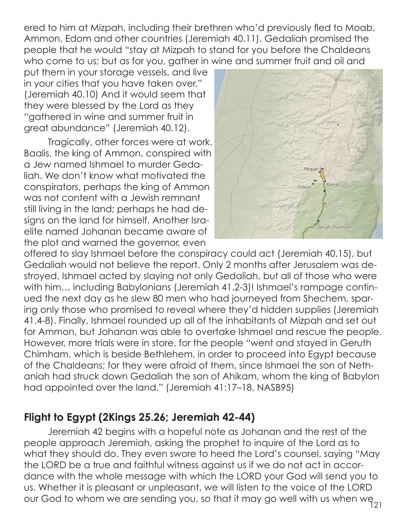ered to him at Mizpah, including their brethren who'd previously fled to Moab, Ammon, Edom and other countries (Jeremiah 40.11). Gedaliah promised the people that he would "stay at Mizpah to stand for you before the Chaldeans who come to us; but as for you, gather in wine and summer fruit and oil and

put them in your storage vessels, and live in your cities that you have taken over." (Jeremiah 40.10) And it would seem that they were blessed by the Lord as they "gathered in wine and summer fruit in great abundance" (Jeremiah 40.12).

 Tragically, other forces were at work. Baalis, the king of Ammon, conspired with a Jew named Ishmael to murder Gedaliah. We don't know what motivated the conspirators, perhaps the king of Ammon was not content with a Jewish remnant still living in the land; perhaps he had designs on the land for himself. Another Israelite named Johanan became aware of the plot and warned the governor, even



offered to slay Ishmael before the conspiracy could act (Jeremiah 40.15), but Gedaliah would not believe the report. Only 2 months after Jerusalem was destroyed, Ishmael acted by slaying not only Gedaliah, but all of those who were with him... including Babylonians (Jeremiah 41.2-3)! Ishmael's rampage continued the next day as he slew 80 men who had journeyed from Shechem, sparing only those who promised to reveal where they'd hidden supplies (Jeremiah 41.4-8). Finally, Ishmael rounded up all of the inhabitants of Mizpah and set out for Ammon, but Johanan was able to overtake Ishmael and rescue the people. However, more trials were in store, for the people "went and stayed in Geruth Chimham, which is beside Bethlehem, in order to proceed into Egypt because of the Chaldeans; for they were afraid of them, since Ishmael the son of Nethaniah had struck down Gedaliah the son of Ahikam, whom the king of Babylon had appointed over the land." (Jeremiah 41:17–18, NASB95)

## **Flight to Egypt (2Kings 25.26; Jeremiah 42-44)**

 Jeremiah 42 begins with a hopeful note as Johanan and the rest of the people approach Jeremiah, asking the prophet to inquire of the Lord as to what they should do. They even swore to heed the Lord's counsel, saying "May the LORD be a true and faithful witness against us if we do not act in accordance with the whole message with which the LORD your God will send you to us. Whether it is pleasant or unpleasant, we will listen to the voice of the LORD our God to whom we are sending you, so that it may go well with us when we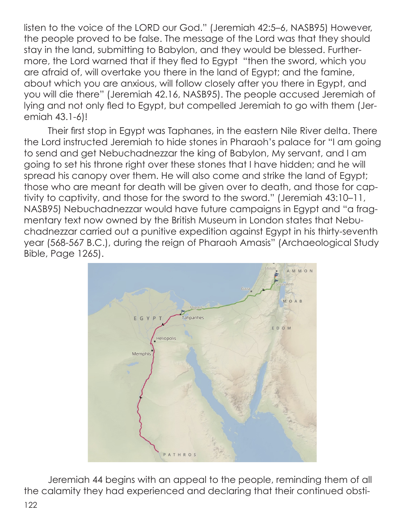listen to the voice of the LORD our God." (Jeremiah 42:5–6, NASB95) However, the people proved to be false. The message of the Lord was that they should stay in the land, submitting to Babylon, and they would be blessed. Furthermore, the Lord warned that if they fled to Egypt "then the sword, which you are afraid of, will overtake you there in the land of Egypt; and the famine, about which you are anxious, will follow closely after you there in Egypt, and you will die there" (Jeremiah 42.16, NASB95). The people accused Jeremiah of lying and not only fled to Egypt, but compelled Jeremiah to go with them (Jeremiah 43.1-6)!

 Their first stop in Egypt was Taphanes, in the eastern Nile River delta. There the Lord instructed Jeremiah to hide stones in Pharaoh's palace for "I am going to send and get Nebuchadnezzar the king of Babylon, My servant, and I am going to set his throne right over these stones that I have hidden; and he will spread his canopy over them. He will also come and strike the land of Egypt; those who are meant for death will be given over to death, and those for captivity to captivity, and those for the sword to the sword." (Jeremiah 43:10–11, NASB95) Nebuchadnezzar would have future campaigns in Egypt and "a fragmentary text now owned by the British Museum in London states that Nebuchadnezzar carried out a punitive expedition against Egypt in his thirty-seventh year (568-567 B.C.), during the reign of Pharaoh Amasis" (Archaeological Study Bible, Page 1265).



 Jeremiah 44 begins with an appeal to the people, reminding them of all the calamity they had experienced and declaring that their continued obsti-